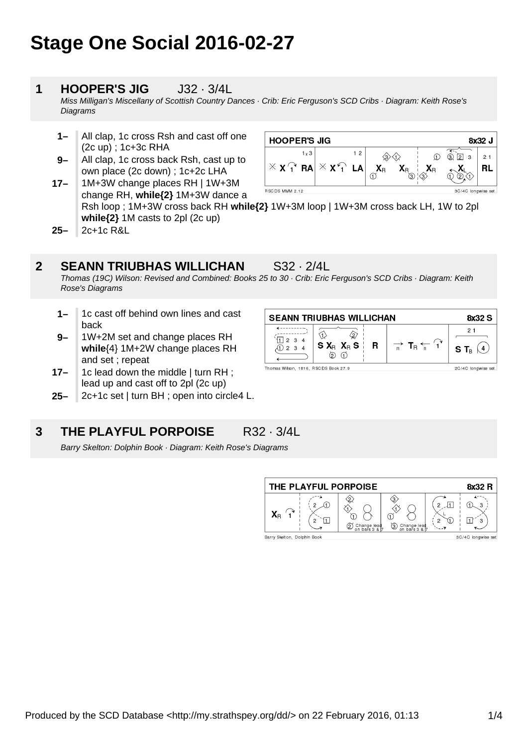# **Stage One Social 2016-02-27**

#### **1 HOOPER'S JIG** J32 · 3/4L

Miss Milligan's Miscellany of Scottish Country Dances · Crib: Eric Ferguson's SCD Cribs · Diagram: Keith Rose's **Diagrams** 

- **1–** All clap, 1c cross Rsh and cast off one (2c up) ; 1c+3c RHA
- **17– 9–** All clap, 1c cross back Rsh, cast up to own place (2c down) ; 1c+2c LHA 1M+3W change places RH | 1W+3M

| <b>HOOPER'S JIG</b><br>8x32 J             |                                                |    |         |    |                |                          |                |
|-------------------------------------------|------------------------------------------------|----|---------|----|----------------|--------------------------|----------------|
| $1 \times 3$                              |                                                | 12 |         |    |                | (3)<br>$^{\prime}2$<br>3 | $\overline{2}$ |
| $\mathbb{X}$ X $\widehat{A}^{\dagger}$ RA | $\mathbb{X}$ $\mathsf{X}$ $\cap$ $\mathsf{LA}$ |    | $X_{R}$ | ΛR | Х <sub>R</sub> |                          | R              |
| RSCDS MMM 2.12                            |                                                |    |         |    |                | 3C/4C longwise set.      |                |

**25–** change RH, **while{2}** 1M+3W dance a Rsh loop ; 1M+3W cross back RH **while{2}** 1W+3M loop | 1W+3M cross back LH, 1W to 2pl **while{2}** 1M casts to 2pl (2c up) 2c+1c R&L

#### **2 SEANN TRIUBHAS WILLICHAN** S32 · 2/4L

Thomas (19C) Wilson: Revised and Combined: Books 25 to 30 · Crib: Eric Ferguson's SCD Cribs · Diagram: Keith Rose's Diagrams

 $\overbrace{ }$ 

 $\sqrt[4]{11}$  2 3 4

① 2 3 4

Thomas Wilson, 1816, RSCDS Book 27.9

**SEANN TRIUBHAS WILLICHAN** 

 $S X_{B} X_{B} S$ 

 $\circledcirc$  ①

 $\hat{\varpi}$ 

 $\mathbf R$ 

 $\bigoplus$ 

- **1–** 1c cast off behind own lines and cast back
- **9–** 1W+2M set and change places RH **while**{4} 1M+2W change places RH and set ; repeat
- **17–** 1c lead down the middle | turn RH ; lead up and cast off to 2pl (2c up)
- **25–** 2c+1c set | turn BH ; open into circle4 L.

#### **3 THE PLAYFUL PORPOISE** R32 · 3/4L

Barry Skelton: Dolphin Book · Diagram: Keith Rose's Diagrams



8x32 S

 $21$ 

S T $_{\tiny{\text{B}}}\ (\Delta)$ 

2C/4C longwise set

 $\Rightarrow$  T<sub>R</sub>  $\leftarrow$   $\Huge{'}$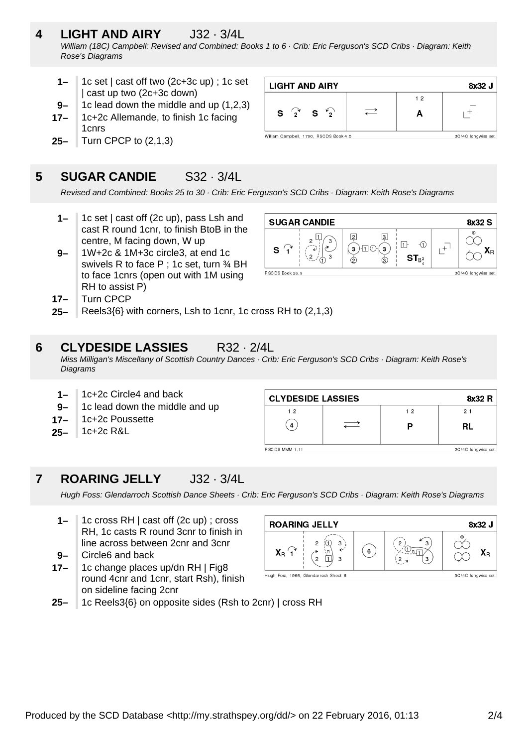### **4 LIGHT AND AIRY** J32 · 3/4L William (18C) Campbell: Revised and Combined: Books 1 to 6 · Crib: Eric Ferguson's SCD Cribs · Diagram: Keith Rose's Diagrams

**LIGHT AND AIRY** 

S  $\sqrt{2}$ 

William Campbell, 1790, RSCDS Book 4.5

S

- **1–** 1c set | cast off two (2c+3c up) ; 1c set | cast up two (2c+3c down)
- **9–** 1c lead down the middle and up (1,2,3)
- **17–** 1c+2c Allemande, to finish 1c facing 1cnrs
- **25–** Turn CPCP to (2,1,3)

#### **5 SUGAR CANDIE** S32 · 3/4L

Revised and Combined: Books 25 to 30 · Crib: Eric Ferguson's SCD Cribs · Diagram: Keith Rose's Diagrams

- **1–** 1c set | cast off (2c up), pass Lsh and cast R round 1cnr, to finish BtoB in the centre, M facing down, W up
- **9–** 1W+2c & 1M+3c circle3, at end 1c swivels R to face P ; 1c set, turn 34 BH to face 1cnrs (open out with 1M using RH to assist P)
- **SUGAR CANDIE** 8x32 S  $\overline{2}$  $\boxed{3}$  $\infty$  $\mathbf{L}^{\dagger}$  $\Box$  $\Theta$  $\mathbf{a}(\mathbf{s})\oplus\mathbf{a}(\mathbf{s})$  $\boldsymbol{X}_{\text{R}}$ S  $ST_{B^3}$ के **BSCDS Book 26.9** 3C/4C longwise set

 $\rightleftarrows$ 

8x32 J

 $+$ <sup>1</sup>

3C/4C longwise set

 $12$ 

 $\overline{\mathsf{A}}$ 

- **17–** Turn CPCP
- **25–** Reels3{6} with corners, Lsh to 1cnr, 1c cross RH to (2,1,3)

#### **6 CLYDESIDE LASSIES** R32 · 2/4L

Miss Milligan's Miscellany of Scottish Country Dances · Crib: Eric Ferguson's SCD Cribs · Diagram: Keith Rose's **Diagrams** 

- **1–** 1c+2c Circle4 and back
- **9–** 1c lead down the middle and up
- **17–** 1c+2c Poussette
- **25–** 1c+2c R&L

| <b>CLYDESIDE LASSIES</b><br>8x32 R   |  |    |    |  |  |
|--------------------------------------|--|----|----|--|--|
| 12                                   |  | 12 | 21 |  |  |
| 4                                    |  |    | RL |  |  |
| RSCDS MMM 1.11<br>2C/4C longwise set |  |    |    |  |  |

#### **7 ROARING JELLY** J32 · 3/4L

Hugh Foss: Glendarroch Scottish Dance Sheets · Crib: Eric Ferguson's SCD Cribs · Diagram: Keith Rose's Diagrams

- **1–** 1c cross RH | cast off (2c up) ; cross RH, 1c casts R round 3cnr to finish in line across between 2cnr and 3cnr
- **9–** Circle6 and back
- **17–** 1c change places up/dn RH | Fig8 round 4cnr and 1cnr, start Rsh), finish on sideline facing 2cnr



**25–** 1c Reels3{6} on opposite sides (Rsh to 2cnr) | cross RH

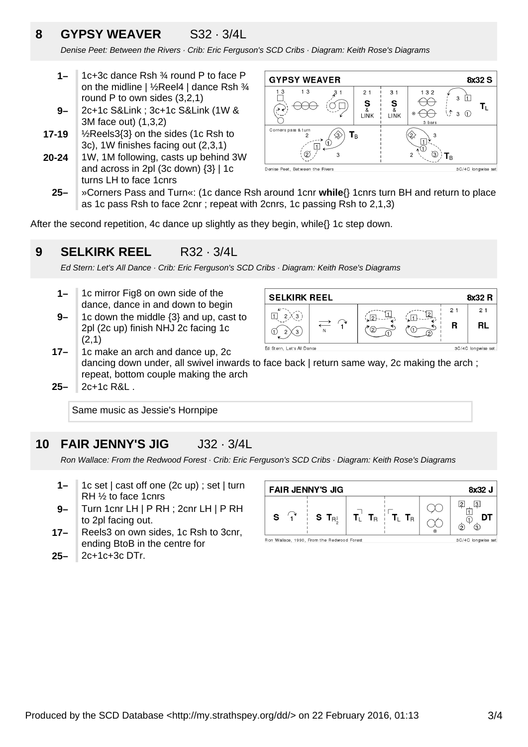## **8 GYPSY WEAVER** S32 · 3/4L

Denise Peet: Between the Rivers · Crib: Eric Ferguson's SCD Cribs · Diagram: Keith Rose's Diagrams

- **1–** 1c+3c dance Rsh ¾ round P to face P on the midline | ½Reel4 | dance Rsh ¾ round P to own sides (3,2,1)
- **9–** 2c+1c S&Link ; 3c+1c S&Link (1W & 3M face out) (1,3,2)
- **17-19** ½Reels3{3} on the sides (1c Rsh to 3c), 1W finishes facing out (2,3,1)
- **20-24** 1W, 1M following, casts up behind 3W and across in 2pl (3c down) {3} | 1c turns LH to face 1cnrs



**25–** »Corners Pass and Turn«: (1c dance Rsh around 1cnr **while**{} 1cnrs turn BH and return to place as 1c pass Rsh to face 2cnr ; repeat with 2cnrs, 1c passing Rsh to 2,1,3)

After the second repetition, 4c dance up slightly as they begin, while{} 1c step down.

#### **9 SELKIRK REEL** R32 · 3/4L

Ed Stern: Let's All Dance · Crib: Eric Ferguson's SCD Cribs · Diagram: Keith Rose's Diagrams

- **1–** 1c mirror Fig8 on own side of the dance, dance in and down to begin
- **9–** 1c down the middle {3} and up, cast to 2pl (2c up) finish NHJ 2c facing 1c (2,1)



- **17–** 1c make an arch and dance up, 2c dancing down under, all swivel inwards to face back | return same way, 2c making the arch; repeat, bottom couple making the arch
- **25–** 2c+1c R&L .

Same music as Jessie's Hornpipe

#### **10 FAIR JENNY'S JIG** J32 · 3/4L

Ron Wallace: From the Redwood Forest · Crib: Eric Ferguson's SCD Cribs · Diagram: Keith Rose's Diagrams

- **1–** 1c set | cast off one (2c up) ; set | turn RH ½ to face 1cnrs
- **9–** Turn 1cnr LH | P RH ; 2cnr LH | P RH to 2pl facing out.
- **17–** Reels3 on own sides, 1c Rsh to 3cnr, ending BtoB in the centre for
- **25–** 2c+1c+3c DTr.